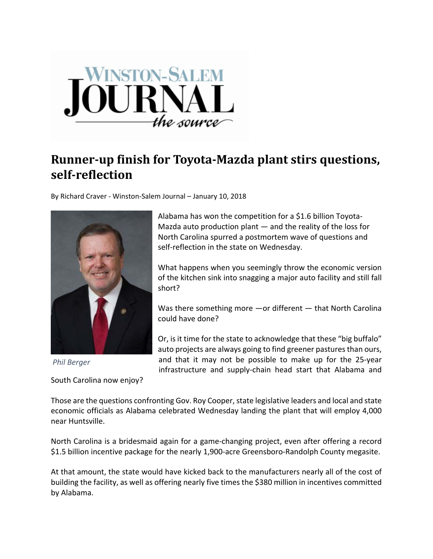

## **Runner‐up finish for Toyota‐Mazda plant stirs questions, self‐reflection**

By Richard Craver ‐ Winston‐Salem Journal – January 10, 2018



*Phil Berger*

South Carolina now enjoy?

Alabama has won the competition for a \$1.6 billion Toyota‐ Mazda auto production plant — and the reality of the loss for North Carolina spurred a postmortem wave of questions and self-reflection in the state on Wednesday.

What happens when you seemingly throw the economic version of the kitchen sink into snagging a major auto facility and still fall short?

Was there something more —or different — that North Carolina could have done?

Or, is it time for the state to acknowledge that these "big buffalo" auto projects are always going to find greener pastures than ours, and that it may not be possible to make up for the 25‐year infrastructure and supply‐chain head start that Alabama and

Those are the questions confronting Gov. Roy Cooper, state legislative leaders and local and state economic officials as Alabama celebrated Wednesday landing the plant that will employ 4,000 near Huntsville.

North Carolina is a bridesmaid again for a game‐changing project, even after offering a record \$1.5 billion incentive package for the nearly 1,900-acre Greensboro-Randolph County megasite.

At that amount, the state would have kicked back to the manufacturers nearly all of the cost of building the facility, as well as offering nearly five times the \$380 million in incentives committed by Alabama.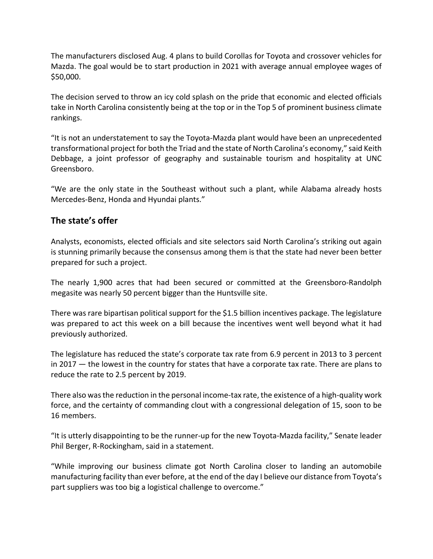The manufacturers disclosed Aug. 4 plans to build Corollas for Toyota and crossover vehicles for Mazda. The goal would be to start production in 2021 with average annual employee wages of \$50,000.

The decision served to throw an icy cold splash on the pride that economic and elected officials take in North Carolina consistently being at the top or in the Top 5 of prominent business climate rankings.

"It is not an understatement to say the Toyota‐Mazda plant would have been an unprecedented transformational project for both the Triad and the state of North Carolina's economy," said Keith Debbage, a joint professor of geography and sustainable tourism and hospitality at UNC Greensboro.

"We are the only state in the Southeast without such a plant, while Alabama already hosts Mercedes‐Benz, Honda and Hyundai plants."

## **The state's offer**

Analysts, economists, elected officials and site selectors said North Carolina's striking out again is stunning primarily because the consensus among them is that the state had never been better prepared for such a project.

The nearly 1,900 acres that had been secured or committed at the Greensboro‐Randolph megasite was nearly 50 percent bigger than the Huntsville site.

There was rare bipartisan political support for the \$1.5 billion incentives package. The legislature was prepared to act this week on a bill because the incentives went well beyond what it had previously authorized.

The legislature has reduced the state's corporate tax rate from 6.9 percent in 2013 to 3 percent in 2017 — the lowest in the country for states that have a corporate tax rate. There are plans to reduce the rate to 2.5 percent by 2019.

There also was the reduction in the personal income-tax rate, the existence of a high-quality work force, and the certainty of commanding clout with a congressional delegation of 15, soon to be 16 members.

"It is utterly disappointing to be the runner‐up for the new Toyota‐Mazda facility," Senate leader Phil Berger, R‐Rockingham, said in a statement.

"While improving our business climate got North Carolina closer to landing an automobile manufacturing facility than ever before, at the end of the day I believe our distance from Toyota's part suppliers was too big a logistical challenge to overcome."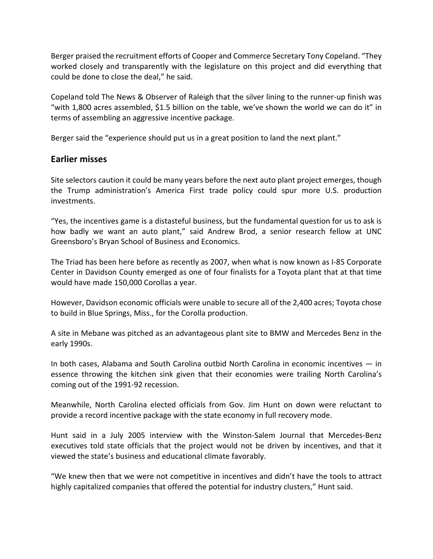Berger praised the recruitment efforts of Cooper and Commerce Secretary Tony Copeland. "They worked closely and transparently with the legislature on this project and did everything that could be done to close the deal," he said.

Copeland told The News & Observer of Raleigh that the silver lining to the runner‐up finish was "with 1,800 acres assembled, \$1.5 billion on the table, we've shown the world we can do it" in terms of assembling an aggressive incentive package.

Berger said the "experience should put us in a great position to land the next plant."

## **Earlier misses**

Site selectors caution it could be many years before the next auto plant project emerges, though the Trump administration's America First trade policy could spur more U.S. production investments.

"Yes, the incentives game is a distasteful business, but the fundamental question for us to ask is how badly we want an auto plant," said Andrew Brod, a senior research fellow at UNC Greensboro's Bryan School of Business and Economics.

The Triad has been here before as recently as 2007, when what is now known as I‐85 Corporate Center in Davidson County emerged as one of four finalists for a Toyota plant that at that time would have made 150,000 Corollas a year.

However, Davidson economic officials were unable to secure all of the 2,400 acres; Toyota chose to build in Blue Springs, Miss., for the Corolla production.

A site in Mebane was pitched as an advantageous plant site to BMW and Mercedes Benz in the early 1990s.

In both cases, Alabama and South Carolina outbid North Carolina in economic incentives — in essence throwing the kitchen sink given that their economies were trailing North Carolina's coming out of the 1991‐92 recession.

Meanwhile, North Carolina elected officials from Gov. Jim Hunt on down were reluctant to provide a record incentive package with the state economy in full recovery mode.

Hunt said in a July 2005 interview with the Winston-Salem Journal that Mercedes-Benz executives told state officials that the project would not be driven by incentives, and that it viewed the state's business and educational climate favorably.

"We knew then that we were not competitive in incentives and didn't have the tools to attract highly capitalized companies that offered the potential for industry clusters," Hunt said.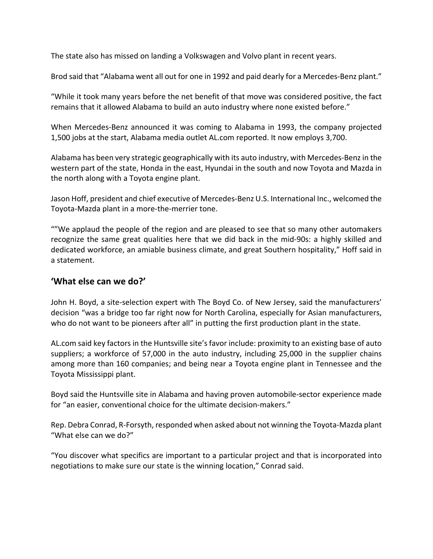The state also has missed on landing a Volkswagen and Volvo plant in recent years.

Brod said that "Alabama went all out for one in 1992 and paid dearly for a Mercedes‐Benz plant."

"While it took many years before the net benefit of that move was considered positive, the fact remains that it allowed Alabama to build an auto industry where none existed before."

When Mercedes‐Benz announced it was coming to Alabama in 1993, the company projected 1,500 jobs at the start, Alabama media outlet AL.com reported. It now employs 3,700.

Alabama has been very strategic geographically with its auto industry, with Mercedes-Benz in the western part of the state, Honda in the east, Hyundai in the south and now Toyota and Mazda in the north along with a Toyota engine plant.

Jason Hoff, president and chief executive of Mercedes‐Benz U.S. International Inc., welcomed the Toyota‐Mazda plant in a more‐the‐merrier tone.

""We applaud the people of the region and are pleased to see that so many other automakers recognize the same great qualities here that we did back in the mid‐90s: a highly skilled and dedicated workforce, an amiable business climate, and great Southern hospitality," Hoff said in a statement.

## **'What else can we do?'**

John H. Boyd, a site-selection expert with The Boyd Co. of New Jersey, said the manufacturers' decision "was a bridge too far right now for North Carolina, especially for Asian manufacturers, who do not want to be pioneers after all" in putting the first production plant in the state.

AL.com said key factors in the Huntsville site's favor include: proximity to an existing base of auto suppliers; a workforce of 57,000 in the auto industry, including 25,000 in the supplier chains among more than 160 companies; and being near a Toyota engine plant in Tennessee and the Toyota Mississippi plant.

Boyd said the Huntsville site in Alabama and having proven automobile‐sector experience made for "an easier, conventional choice for the ultimate decision-makers."

Rep. Debra Conrad, R‐Forsyth, responded when asked about not winning the Toyota‐Mazda plant "What else can we do?"

"You discover what specifics are important to a particular project and that is incorporated into negotiations to make sure our state is the winning location," Conrad said.